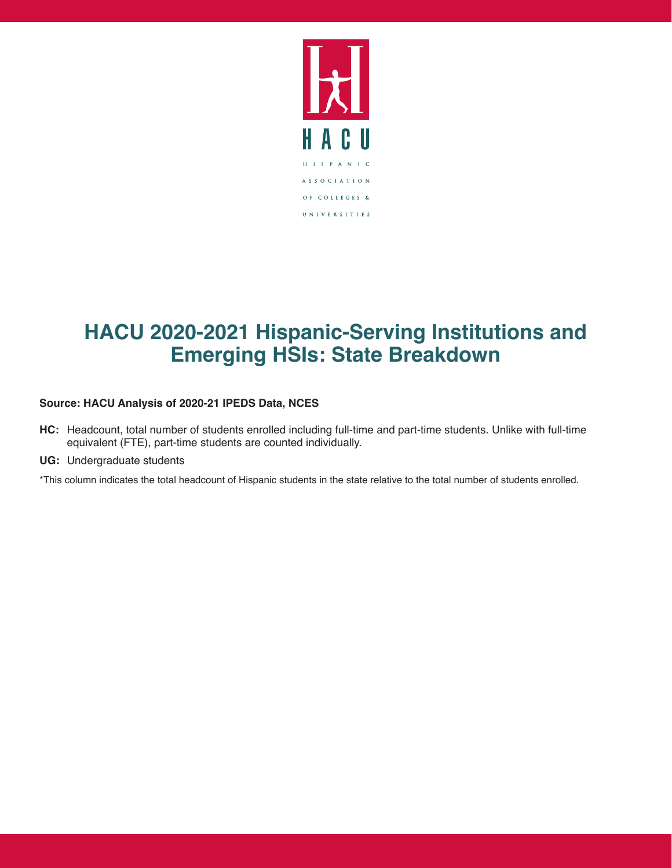

## **HACU 2020-2021 Hispanic-Serving Institutions and Emerging HSIs: State Breakdown**

## **Source: HACU Analysis of 2020-21 IPEDS Data, NCES**

- **HC:** Headcount, total number of students enrolled including full-time and part-time students. Unlike with full-time equivalent (FTE), part-time students are counted individually.
- **UG:** Undergraduate students

\*This column indicates the total headcount of Hispanic students in the state relative to the total number of students enrolled.